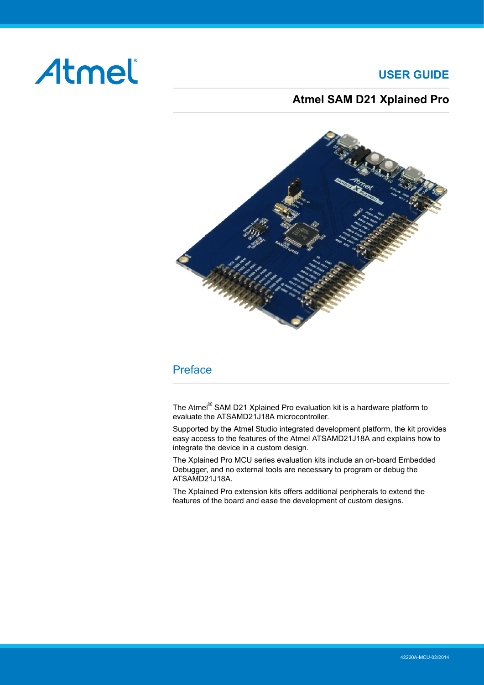# Atmel

## **USER GUIDE**

## **Atmel SAM D21 Xplained Pro**

<span id="page-0-0"></span>

## Preface

The Atmel<sup>®</sup> SAM D21 Xplained Pro evaluation kit is a hardware platform to evaluate the ATSAMD21J18A microcontroller.

Supported by the Atmel Studio integrated development platform, the kit provides easy access to the features of the Atmel ATSAMD21J18A and explains how to integrate the device in a custom design.

The Xplained Pro MCU series evaluation kits include an on-board Embedded Debugger, and no external tools are necessary to program or debug the ATSAMD21J18A.

The Xplained Pro extension kits offers additional peripherals to extend the features of the board and ease the development of custom designs.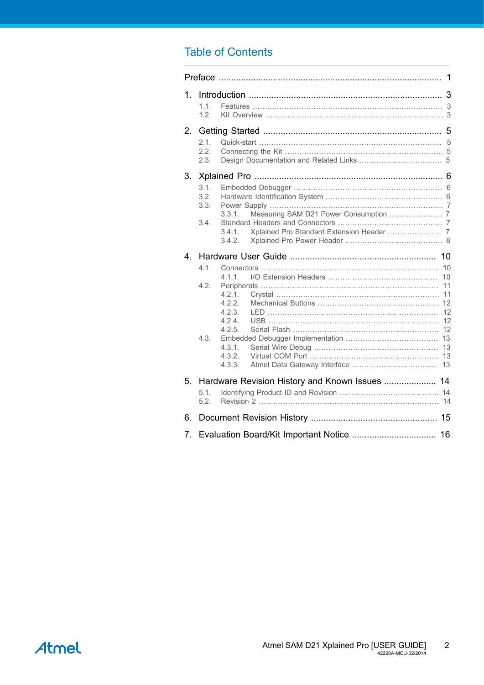## **Table of Contents**

| $1_{-}$ | 1.1.<br>1.2.                 |                                                                                     |  |  |  |
|---------|------------------------------|-------------------------------------------------------------------------------------|--|--|--|
| 2.      |                              |                                                                                     |  |  |  |
|         | 2.1.<br>2.2<br>2.3.          |                                                                                     |  |  |  |
| 3.      |                              |                                                                                     |  |  |  |
|         | 3.1.<br>3.2.<br>3.3.<br>3.4. | 3.3.1.<br>3.4.1.<br>3.4.2.                                                          |  |  |  |
| 4.      |                              |                                                                                     |  |  |  |
|         | 4.1.<br>4.2.<br>4.3.         | 4.1.1.<br>4.2.1<br>4.2.2.<br>4.2.3.<br>4.24<br>4.2.5.<br>4.3.1.<br>4.3.2.<br>4.3.3. |  |  |  |
| 5.      | 5.1.<br>5.2                  | Hardware Revision History and Known Issues  14                                      |  |  |  |
| 6.      |                              |                                                                                     |  |  |  |
| 7.      |                              |                                                                                     |  |  |  |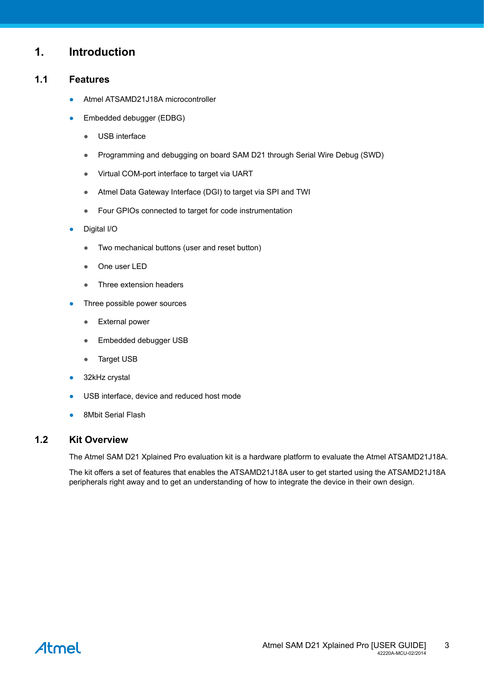### <span id="page-2-0"></span>**1. Introduction**

#### **1.1 Features**

- <span id="page-2-1"></span>Atmel ATSAMD21J18A microcontroller
- Embedded debugger (EDBG)
	- USB interface
	- Programming and debugging on board SAM D21 through Serial Wire Debug (SWD)
	- Virtual COM-port interface to target via UART
	- Atmel Data Gateway Interface (DGI) to target via SPI and TWI
	- Four GPIOs connected to target for code instrumentation
- Digital I/O
	- Two mechanical buttons (user and reset button)
	- One user LED
	- Three extension headers
- Three possible power sources
	- External power
	- Embedded debugger USB
	- Target USB
- 32kHz crystal
- USB interface, device and reduced host mode
- <span id="page-2-2"></span>● 8Mbit Serial Flash

#### **1.2 Kit Overview**

The Atmel SAM D21 Xplained Pro evaluation kit is a hardware platform to evaluate the Atmel ATSAMD21J18A.

The kit offers a set of features that enables the ATSAMD21J18A user to get started using the ATSAMD21J18A peripherals right away and to get an understanding of how to integrate the device in their own design.

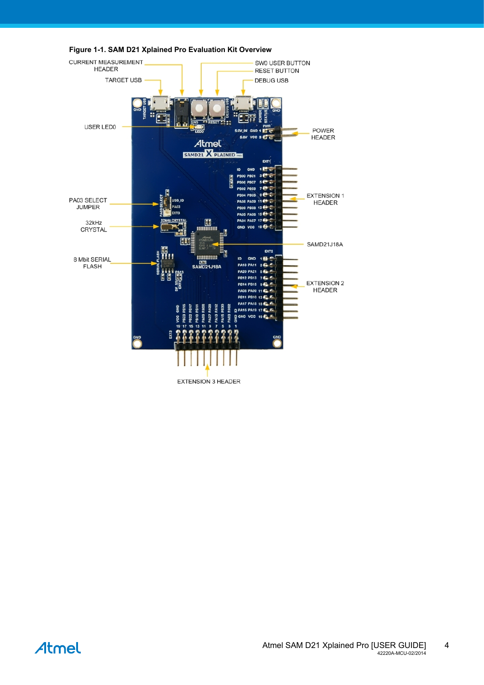

<span id="page-3-0"></span>**Figure 1-1. SAM D21 Xplained Pro Evaluation Kit Overview**

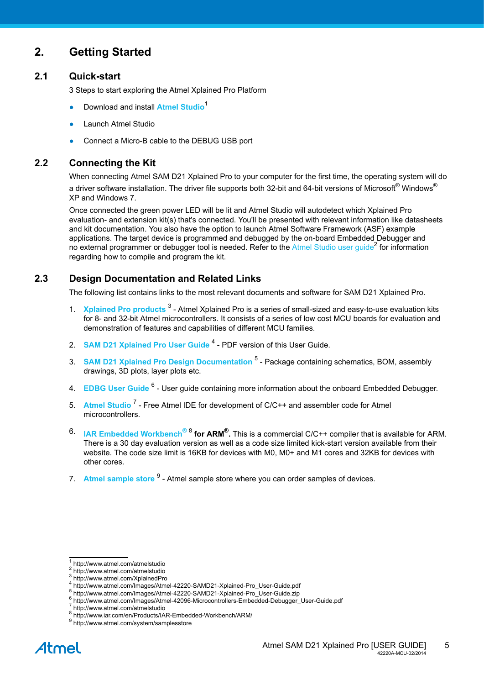## <span id="page-4-0"></span>**2. Getting Started**

#### **2.1 Quick-start**

<span id="page-4-1"></span>3 Steps to start exploring the Atmel Xplained Pro Platform

- Download and install **[Atmel Studio](http://www.atmel.com/atmelstudio)**<sup>1</sup>
- **Launch Atmel Studio**
- <span id="page-4-2"></span>Connect a Micro-B cable to the DEBUG USB port

#### **2.2 Connecting the Kit**

When connecting Atmel SAM D21 Xplained Pro to your computer for the first time, the operating system will do a driver software installation. The driver file supports both 32-bit and 64-bit versions of Microsoft $^{\circledR}$  Windows $^{\circledR}$ XP and Windows 7.

Once connected the green power LED will be lit and Atmel Studio will autodetect which Xplained Pro evaluation- and extension kit(s) that's connected. You'll be presented with relevant information like datasheets and kit documentation. You also have the option to launch Atmel Software Framework (ASF) example applications. The target device is programmed and debugged by the on-board Embedded Debugger and no external programmer or debugger tool is needed. Refer to the [Atmel Studio user guide](http://www.atmel.com/atmelstudio)<sup>2</sup> for information regarding how to compile and program the kit.

#### **2.3 Design Documentation and Related Links**

<span id="page-4-3"></span>The following list contains links to the most relevant documents and software for SAM D21 Xplained Pro.

- 1. [Xplained Pro products](http://www.atmel.com/XplainedPro)<sup>3</sup> Atmel Xplained Pro is a series of small-sized and easy-to-use evaluation kits for 8- and 32-bit Atmel microcontrollers. It consists of a series of low cost MCU boards for evaluation and demonstration of features and capabilities of different MCU families.
- 2. **[SAM D21 Xplained Pro User Guide](http://www.atmel.com/Images/Atmel-42220-SAMD21-Xplained-Pro_User-Guide.pdf)<sup>4</sup> PDF version of this User Guide.**
- 3. [SAM D21 Xplained Pro Design Documentation](http://www.atmel.com/Images/Atmel-42220-SAMD21-Xplained-Pro_User-Guide.zip) <sup>5</sup> Package containing schematics, BOM, assembly drawings, 3D plots, layer plots etc.
- 4. **[EDBG User Guide](http://www.atmel.com/Images/Atmel-42096-Microcontrollers-Embedded-Debugger_User-Guide.pdf)<sup>6</sup> User guide containing more information about the onboard Embedded Debugger.**
- 5. [Atmel Studio](http://www.atmel.com/atmelstudio)<sup>7</sup> Free Atmel IDE for development of C/C++ and assembler code for Atmel microcontrollers.
- 6. **IAR Embedded [Workbench](http://www.iar.com/en/Products/IAR-Embedded-Workbench/ARM/) ®** 8  **for ARM® .** This is a commercial C/C++ compiler that is available for ARM. There is a 30 day evaluation version as well as a code size limited kick-start version available from their website. The code size limit is 16KB for devices with M0, M0+ and M1 cores and 32KB for devices with other cores.
- 7. [Atmel sample store](http://www.atmel.com/system/samplesstore) <sup>9</sup> Atmel sample store where you can order samples of devices.

<sup>1</sup> <http://www.atmel.com/atmelstudio>

<sup>2</sup> <http://www.atmel.com/atmelstudio>

<sup>3</sup> <http://www.atmel.com/XplainedPro>

<sup>4</sup> [http://www.atmel.com/Images/Atmel-42220-SAMD21-Xplained-Pro\\_User-Guide.pdf](http://www.atmel.com/Images/Atmel-42220-SAMD21-Xplained-Pro_User-Guide.pdf)<br>5 http://uww.atmel.com/Images/Atmel\_42220\_SAMD21\_Xplained\_Pro\_User-Guide.zip

[http://www.atmel.com/Images/Atmel-42220-SAMD21-Xplained-Pro\\_User-Guide.zip](http://www.atmel.com/Images/Atmel-42220-SAMD21-Xplained-Pro_User-Guide.zip)

<sup>6</sup> [http://www.atmel.com/Images/Atmel-42096-Microcontrollers-Embedded-Debugger\\_User-Guide.pdf](http://www.atmel.com/Images/Atmel-42096-Microcontrollers-Embedded-Debugger_User-Guide.pdf)<br>7 http://www.atmel.com/otmoletudie

<http://www.atmel.com/atmelstudio>

<sup>8</sup> <http://www.iar.com/en/Products/IAR-Embedded-Workbench/ARM/>

<sup>&</sup>lt;sup>9</sup> <http://www.atmel.com/system/samplesstore>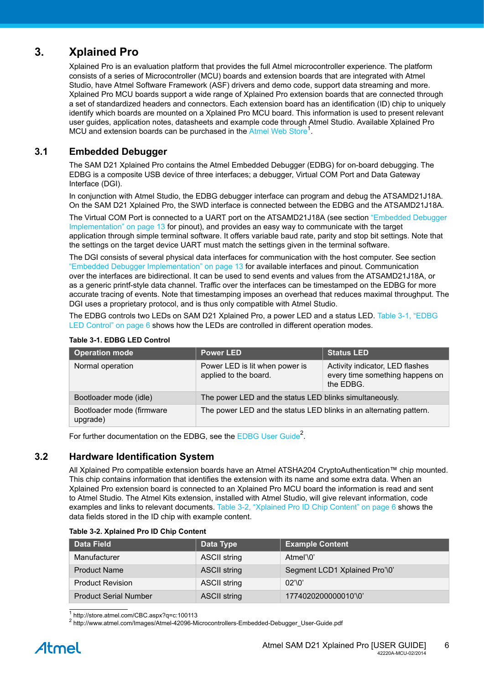## **3. Xplained Pro**

<span id="page-5-0"></span>Xplained Pro is an evaluation platform that provides the full Atmel microcontroller experience. The platform consists of a series of Microcontroller (MCU) boards and extension boards that are integrated with Atmel Studio, have Atmel Software Framework (ASF) drivers and demo code, support data streaming and more. Xplained Pro MCU boards support a wide range of Xplained Pro extension boards that are connected through a set of standardized headers and connectors. Each extension board has an identification (ID) chip to uniquely identify which boards are mounted on a Xplained Pro MCU board. This information is used to present relevant user guides, application notes, datasheets and example code through Atmel Studio. Available Xplained Pro MCU and extension boards can be purchased in the [Atmel](http://store.atmel.com/CBC.aspx?q=c:100113) Web Store<sup>1</sup>.

#### **3.1 Embedded Debugger**

<span id="page-5-1"></span>The SAM D21 Xplained Pro contains the Atmel Embedded Debugger (EDBG) for on-board debugging. The EDBG is a composite USB device of three interfaces; a debugger, Virtual COM Port and Data Gateway Interface (DGI).

In conjunction with Atmel Studio, the EDBG debugger interface can program and debug the ATSAMD21J18A. On the SAM D21 Xplained Pro, the SWD interface is connected between the EDBG and the ATSAMD21J18A.

The Virtual COM Port is connected to a UART port on the ATSAMD21J18A (see section ["Embedded Debugger](#page-12-0) [Implementation" on page 13](#page-12-0) for pinout), and provides an easy way to communicate with the target application through simple terminal software. It offers variable baud rate, parity and stop bit settings. Note that the settings on the target device UART must match the settings given in the terminal software.

The DGI consists of several physical data interfaces for communication with the host computer. See section ["Embedded Debugger Implementation" on page 13](#page-12-0) for available interfaces and pinout. Communication over the interfaces are bidirectional. It can be used to send events and values from the ATSAMD21J18A, or as a generic printf-style data channel. Traffic over the interfaces can be timestamped on the EDBG for more accurate tracing of events. Note that timestamping imposes an overhead that reduces maximal throughput. The DGI uses a proprietary protocol, and is thus only compatible with Atmel Studio.

The EDBG controls two LEDs on SAM D21 Xplained Pro, a power LED and a status LED. Table 3-1, ["EDBG](#page-5-3) [LED Control" on page 6](#page-5-3) shows how the LEDs are controlled in different operation modes.

| <b>Operation mode</b>                 | <b>Power LED</b>                                                   | <b>Status LED</b>                                                               |
|---------------------------------------|--------------------------------------------------------------------|---------------------------------------------------------------------------------|
| Normal operation                      | Power LED is lit when power is<br>applied to the board.            | Activity indicator, LED flashes<br>every time something happens on<br>the EDBG. |
| Bootloader mode (idle)                | The power LED and the status LED blinks simultaneously.            |                                                                                 |
| Bootloader mode (firmware<br>upgrade) | The power LED and the status LED blinks in an alternating pattern. |                                                                                 |

#### <span id="page-5-3"></span>**Table 3-1. EDBG LED Control**

<span id="page-5-2"></span>For further documentation on the EDBG, see the [EDBG User Guide](http://www.atmel.com/Images/Atmel-42096-Microcontrollers-Embedded-Debugger_User-Guide.pdf)<sup>2</sup>.

#### **3.2 Hardware Identification System**

All Xplained Pro compatible extension boards have an Atmel ATSHA204 CryptoAuthentication™ chip mounted. This chip contains information that identifies the extension with its name and some extra data. When an Xplained Pro extension board is connected to an Xplained Pro MCU board the information is read and sent to Atmel Studio. The Atmel Kits extension, installed with Atmel Studio, will give relevant information, code examples and links to relevant documents. Table 3-2, ["Xplained](#page-5-4) Pro ID Chip Content[" on page 6](#page-5-4) shows the data fields stored in the ID chip with example content.

<span id="page-5-4"></span>

| <b>Data Field</b>            | Data Type           | <b>Example Content</b>        |
|------------------------------|---------------------|-------------------------------|
| Manufacturer                 | <b>ASCII string</b> | Atmel'\0'                     |
| <b>Product Name</b>          | <b>ASCII string</b> | Segment LCD1 Xplained Pro'\0' |
| <b>Product Revision</b>      | <b>ASCII string</b> | 02'10'                        |
| <b>Product Serial Number</b> | <b>ASCII string</b> | 1774020200000010'\0'          |

1 <http://store.atmel.com/CBC.aspx?q=c:100113>

<sup>2</sup> [http://www.atmel.com/Images/Atmel-42096-Microcontrollers-Embedded-Debugger\\_User-Guide.pdf](http://www.atmel.com/Images/Atmel-42096-Microcontrollers-Embedded-Debugger_User-Guide.pdf)

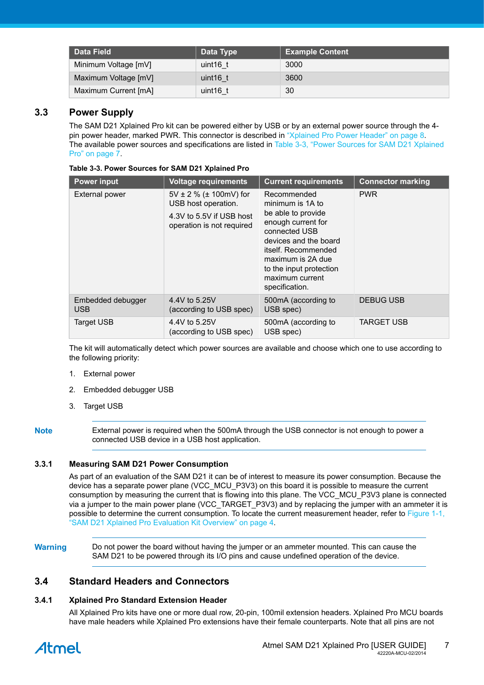| Data Field           | Data Type   | <b>Example Content</b> |
|----------------------|-------------|------------------------|
| Minimum Voltage [mV] | uint $16$ t | 3000                   |
| Maximum Voltage [mV] | uint $16$ t | 3600                   |
| Maximum Current [mA] | uint $16$ t | 30                     |

#### **3.3 Power Supply**

<span id="page-6-0"></span>The SAM D21 Xplained Pro kit can be powered either by USB or by an external power source through the 4 pin power header, marked PWR. This connector is described in ["Xplained Pro Power Header" on page 8.](#page-7-0) The available power sources and specifications are listed in Table 3-3, "Power Sources for SAM D21 [Xplained](#page-6-4) [Pro" on page 7.](#page-6-4)

<span id="page-6-4"></span>

| <b>Power input</b>              | <b>Voltage requirements</b>                                                                                     | <b>Current requirements</b>                                                                                                                                                                                                       | <b>Connector marking</b> |
|---------------------------------|-----------------------------------------------------------------------------------------------------------------|-----------------------------------------------------------------------------------------------------------------------------------------------------------------------------------------------------------------------------------|--------------------------|
| External power                  | $5V \pm 2$ % ( $\pm$ 100mV) for<br>USB host operation.<br>4.3V to 5.5V if USB host<br>operation is not required | Recommended<br>minimum is 1A to<br>be able to provide<br>enough current for<br>connected USB<br>devices and the board<br>itself. Recommended<br>maximum is 2A due<br>to the input protection<br>maximum current<br>specification. | <b>PWR</b>               |
| Embedded debugger<br><b>USB</b> | 4.4V to 5.25V<br>(according to USB spec)                                                                        | 500mA (according to<br>USB spec)                                                                                                                                                                                                  | <b>DEBUG USB</b>         |
| <b>Target USB</b>               | 4.4V to 5.25V<br>(according to USB spec)                                                                        | 500mA (according to<br>USB spec)                                                                                                                                                                                                  | <b>TARGET USB</b>        |

The kit will automatically detect which power sources are available and choose which one to use according to the following priority:

- 1. External power
- 2. Embedded debugger USB
- 3. Target USB
- 

**Note** External power is required when the 500mA through the USB connector is not enough to power a connected USB device in a USB host application.

#### **3.3.1 Measuring SAM D21 Power Consumption**

<span id="page-6-1"></span>As part of an evaluation of the SAM D21 it can be of interest to measure its power consumption. Because the device has a separate power plane (VCC\_MCU\_P3V3) on this board it is possible to measure the current consumption by measuring the current that is flowing into this plane. The VCC\_MCU\_P3V3 plane is connected via a jumper to the main power plane (VCC\_TARGET\_P3V3) and by replacing the jumper with an ammeter it is possible to determine the current consumption. To locate the current measurement header, refer to [Figure 1-1,](#page-3-0) ["SAM D21 Xplained Pro Evaluation Kit Overview" on page 4.](#page-3-0)

**Warning** Do not power the board without having the jumper or an ammeter mounted. This can cause the SAM D21 to be powered through its I/O pins and cause undefined operation of the device.

#### **3.4 Standard Headers and Connectors**

#### **3.4.1 Xplained Pro Standard Extension Header**

<span id="page-6-3"></span><span id="page-6-2"></span>All Xplained Pro kits have one or more dual row, 20-pin, 100mil extension headers. Xplained Pro MCU boards have male headers while Xplained Pro extensions have their female counterparts. Note that all pins are not

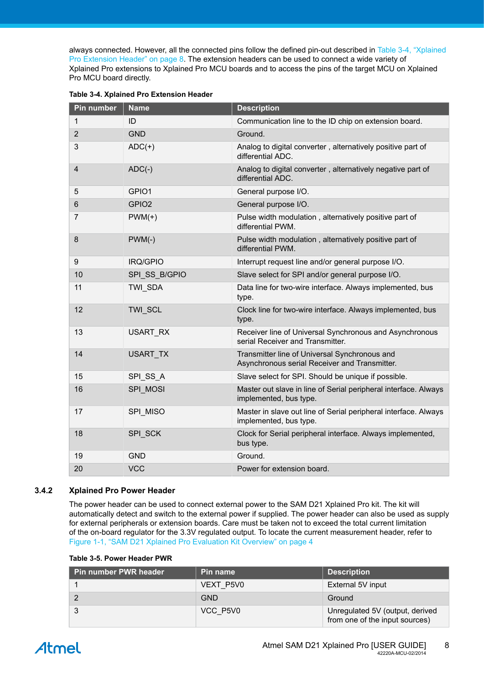always connected. However, all the connected pins follow the defined pin-out described in Table 3-4, ["Xplained](#page-7-1) [Pro Extension Header" on page 8.](#page-7-1) The extension headers can be used to connect a wide variety of Xplained Pro extensions to Xplained Pro MCU boards and to access the pins of the target MCU on Xplained Pro MCU board directly.

| Pin number              | <b>Name</b>       | <b>Description</b>                                                                             |
|-------------------------|-------------------|------------------------------------------------------------------------------------------------|
| 1                       | ID                | Communication line to the ID chip on extension board.                                          |
| $\overline{2}$          | <b>GND</b>        | Ground.                                                                                        |
| 3                       | $ADC(+)$          | Analog to digital converter, alternatively positive part of<br>differential ADC.               |
| $\overline{\mathbf{4}}$ | $ADC(-)$          | Analog to digital converter, alternatively negative part of<br>differential ADC.               |
| 5                       | GPIO1             | General purpose I/O.                                                                           |
| 6                       | GPIO <sub>2</sub> | General purpose I/O.                                                                           |
| $\overline{7}$          | $PWM(+)$          | Pulse width modulation, alternatively positive part of<br>differential PWM.                    |
| 8                       | $PWM(-)$          | Pulse width modulation, alternatively positive part of<br>differential PWM.                    |
| 9                       | IRQ/GPIO          | Interrupt request line and/or general purpose I/O.                                             |
| 10                      | SPI SS B/GPIO     | Slave select for SPI and/or general purpose I/O.                                               |
| 11                      | TWI SDA           | Data line for two-wire interface. Always implemented, bus<br>type.                             |
| 12                      | TWI SCL           | Clock line for two-wire interface. Always implemented, bus<br>type.                            |
| 13                      | USART RX          | Receiver line of Universal Synchronous and Asynchronous<br>serial Receiver and Transmitter.    |
| 14                      | <b>USART TX</b>   | Transmitter line of Universal Synchronous and<br>Asynchronous serial Receiver and Transmitter. |
| 15                      | SPI_SS_A          | Slave select for SPI. Should be unique if possible.                                            |
| 16                      | SPI MOSI          | Master out slave in line of Serial peripheral interface. Always<br>implemented, bus type.      |
| 17                      | SPI_MISO          | Master in slave out line of Serial peripheral interface. Always<br>implemented, bus type.      |
| 18                      | SPI SCK           | Clock for Serial peripheral interface. Always implemented,<br>bus type.                        |
| 19                      | <b>GND</b>        | Ground.                                                                                        |
| 20                      | <b>VCC</b>        | Power for extension board.                                                                     |

#### <span id="page-7-1"></span>**Table 3-4. Xplained Pro Extension Header**

#### **3.4.2 Xplained Pro Power Header**

<span id="page-7-0"></span>The power header can be used to connect external power to the SAM D21 Xplained Pro kit. The kit will automatically detect and switch to the external power if supplied. The power header can also be used as supply for external peripherals or extension boards. Care must be taken not to exceed the total current limitation of the on-board regulator for the 3.3V regulated output. To locate the current measurement header, refer to [Figure 1-1, "SAM D21 Xplained Pro Evaluation Kit Overview" on page 4](#page-3-0)

| Table 3-5. Power Header PWR |  |  |  |
|-----------------------------|--|--|--|
|-----------------------------|--|--|--|

| <b>Pin number PWR header</b> | Pin name   | <b>Description</b>                                                |
|------------------------------|------------|-------------------------------------------------------------------|
|                              | VEXT P5V0  | External 5V input                                                 |
|                              | <b>GND</b> | Ground                                                            |
|                              | VCC P5V0   | Unregulated 5V (output, derived<br>from one of the input sources) |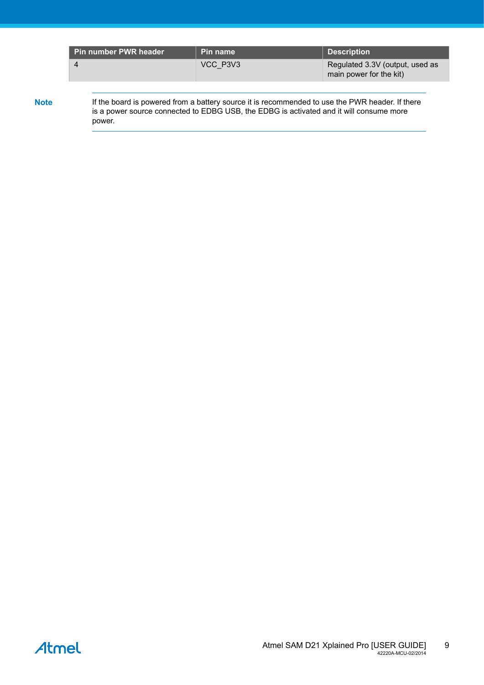| VCC P3V3<br>Regulated 3.3V (output, used as<br>4<br>main power for the kit) | Pin number PWR header | Pin name | <b>Description</b> |
|-----------------------------------------------------------------------------|-----------------------|----------|--------------------|
|                                                                             |                       |          |                    |

Note If the board is powered from a battery source it is recommended to use the PWR header. If there is a power source connected to EDBG USB, the EDBG is activated and it will consume more power.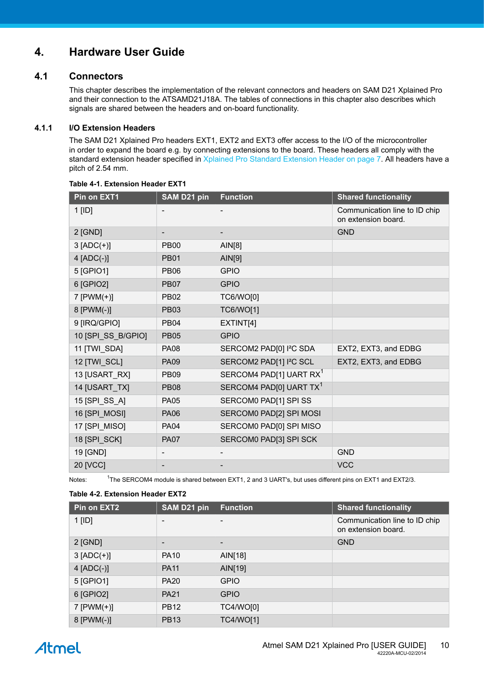## <span id="page-9-0"></span>**4. Hardware User Guide**

#### **4.1 Connectors**

<span id="page-9-1"></span>This chapter describes the implementation of the relevant connectors and headers on SAM D21 Xplained Pro and their connection to the ATSAMD21J18A. The tables of connections in this chapter also describes which signals are shared between the headers and on-board functionality.

#### **4.1.1 I/O Extension Headers**

<span id="page-9-2"></span>The SAM D21 Xplained Pro headers EXT1, EXT2 and EXT3 offer access to the I/O of the microcontroller in order to expand the board e.g. by connecting extensions to the board. These headers all comply with the standard extension header specified in [Xplained Pro Standard Extension Header on page 7.](#page-6-3) All headers have a pitch of 2.54 mm.

| Pin on EXT1        | SAM D21 pin | <b>Function</b>                     | <b>Shared functionality</b>                          |
|--------------------|-------------|-------------------------------------|------------------------------------------------------|
| $1$ [ID]           |             |                                     | Communication line to ID chip<br>on extension board. |
| 2 [GND]            | -           |                                     | <b>GND</b>                                           |
| $3 [ADC(+)]$       | <b>PB00</b> | AlN[8]                              |                                                      |
| 4 [ADC(-)]         | <b>PB01</b> | AIN[9]                              |                                                      |
| 5 [GPIO1]          | <b>PB06</b> | <b>GPIO</b>                         |                                                      |
| 6 [GPIO2]          | <b>PB07</b> | <b>GPIO</b>                         |                                                      |
| $7$ [PWM(+)]       | <b>PB02</b> | TC6/WO[0]                           |                                                      |
| 8 [PWM(-)]         | <b>PB03</b> | <b>TC6/WO[1]</b>                    |                                                      |
| 9 [IRQ/GPIO]       | <b>PB04</b> | EXTINT[4]                           |                                                      |
| 10 [SPI_SS_B/GPIO] | <b>PB05</b> | <b>GPIO</b>                         |                                                      |
| 11 [TWI_SDA]       | <b>PA08</b> | SERCOM2 PAD[0] I <sup>2</sup> C SDA | EXT2, EXT3, and EDBG                                 |
| 12 [TWI_SCL]       | <b>PA09</b> | SERCOM2 PAD[1] I <sup>2</sup> C SCL | EXT2, EXT3, and EDBG                                 |
| 13 [USART_RX]      | <b>PB09</b> | SERCOM4 PAD[1] UART RX <sup>1</sup> |                                                      |
| 14 [USART_TX]      | <b>PB08</b> | SERCOM4 PAD[0] UART TX <sup>1</sup> |                                                      |
| 15 [SPI_SS_A]      | <b>PA05</b> | SERCOM0 PAD[1] SPI SS               |                                                      |
| 16 [SPI_MOSI]      | <b>PA06</b> | SERCOM0 PAD[2] SPI MOSI             |                                                      |
| 17 [SPI_MISO]      | <b>PA04</b> | SERCOM0 PAD[0] SPI MISO             |                                                      |
| 18 [SPI_SCK]       | <b>PA07</b> | SERCOM0 PAD[3] SPI SCK              |                                                      |
| 19 [GND]           | ٠           |                                     | <b>GND</b>                                           |
| 20 [VCC]           |             |                                     | <b>VCC</b>                                           |
|                    |             |                                     |                                                      |

#### **Table 4-1. Extension Header EXT1**

Notes:

 $1$ The SERCOM4 module is shared between EXT1, 2 and 3 UART's, but uses different pins on EXT1 and EXT2/3.

#### **Table 4-2. Extension Header EXT2**

| Pin on EXT2    | <b>SAM D21 pin</b> | <b>Function</b>  | <b>Shared functionality</b>                          |
|----------------|--------------------|------------------|------------------------------------------------------|
| $1$ [ID]       | -                  | -                | Communication line to ID chip<br>on extension board. |
| 2 [GND]        | -                  |                  | <b>GND</b>                                           |
| $3 [ADC(+)]$   | <b>PA10</b>        | AIN[18]          |                                                      |
| $4$ [ADC(-)]   | <b>PA11</b>        | AIN[19]          |                                                      |
| 5 [GPIO1]      | <b>PA20</b>        | <b>GPIO</b>      |                                                      |
| 6 [GPIO2]      | <b>PA21</b>        | <b>GPIO</b>      |                                                      |
| 7 [ $PWM(+)$ ] | <b>PB12</b>        | <b>TC4/WO[0]</b> |                                                      |
| $8$ [PWM(-)]   | <b>PB13</b>        | <b>TC4/WO[1]</b> |                                                      |

# Atmel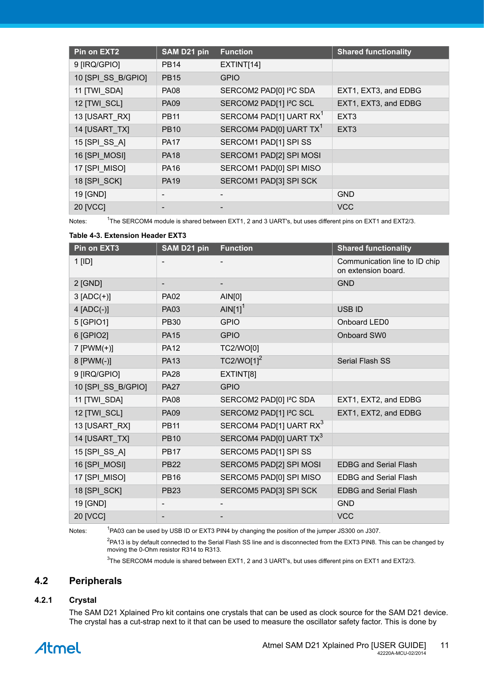| Pin on EXT2        | SAM D21 pin              | <b>Function</b>                     | <b>Shared functionality</b> |
|--------------------|--------------------------|-------------------------------------|-----------------------------|
| 9 [IRQ/GPIO]       | <b>PB14</b>              | EXTINT[14]                          |                             |
| 10 [SPI SS B/GPIO] | <b>PB15</b>              | <b>GPIO</b>                         |                             |
| 11 [TWI SDA]       | <b>PA08</b>              | SERCOM2 PAD[0] I <sup>2</sup> C SDA | EXT1, EXT3, and EDBG        |
| 12 [TWI SCL]       | <b>PA09</b>              | SERCOM2 PAD[1] I <sup>2</sup> C SCL | EXT1, EXT3, and EDBG        |
| 13 [USART RX]      | <b>PB11</b>              | SERCOM4 PAD[1] UART RX <sup>1</sup> | EXT <sub>3</sub>            |
| 14 [USART_TX]      | <b>PB10</b>              | SERCOM4 PAD[0] UART TX <sup>1</sup> | EXT <sub>3</sub>            |
| 15 [SPI_SS_A]      | <b>PA17</b>              | SERCOM1 PAD[1] SPI SS               |                             |
| 16 [SPI MOSI]      | <b>PA18</b>              | SERCOM1 PAD[2] SPI MOSI             |                             |
| 17 [SPI MISO]      | <b>PA16</b>              | SERCOM1 PAD[0] SPI MISO             |                             |
| 18 [SPI_SCK]       | <b>PA19</b>              | SERCOM1 PAD[3] SPI SCK              |                             |
| 19 [GND]           | $\overline{\phantom{a}}$ |                                     | <b>GND</b>                  |
| 20 [VCC]           | $\overline{\phantom{a}}$ |                                     | <b>VCC</b>                  |

Notes:

<sup>1</sup>The SERCOM4 module is shared between EXT1, 2 and 3 UART's, but uses different pins on EXT1 and EXT2/3.

#### **Table 4-3. Extension Header EXT3**

| Pin on EXT3        | SAM D21 pin              | <b>Function</b>                     | <b>Shared functionality</b>                          |
|--------------------|--------------------------|-------------------------------------|------------------------------------------------------|
| 1 [ID]             | $\overline{\phantom{a}}$ |                                     | Communication line to ID chip<br>on extension board. |
| 2 [GND]            | -                        |                                     | <b>GND</b>                                           |
| $3 [ADC(+)]$       | <b>PA02</b>              | AIN[0]                              |                                                      |
| $4$ [ADC(-)]       | <b>PA03</b>              | AIN[1] <sup>1</sup>                 | <b>USB ID</b>                                        |
| 5 [GPIO1]          | <b>PB30</b>              | <b>GPIO</b>                         | Onboard LED0                                         |
| 6 [GPIO2]          | <b>PA15</b>              | <b>GPIO</b>                         | Onboard SW0                                          |
| $7$ [PWM(+)]       | <b>PA12</b>              | TC2/WO[0]                           |                                                      |
| 8 [PWM(-)]         | <b>PA13</b>              | TC2/WO[1] <sup>2</sup>              | Serial Flash SS                                      |
| 9 [IRQ/GPIO]       | <b>PA28</b>              | EXTINT[8]                           |                                                      |
| 10 [SPI_SS_B/GPIO] | <b>PA27</b>              | <b>GPIO</b>                         |                                                      |
| 11 [TWI_SDA]       | <b>PA08</b>              | SERCOM2 PAD[0] I <sup>2</sup> C SDA | EXT1, EXT2, and EDBG                                 |
| 12 [TWI_SCL]       | <b>PA09</b>              | SERCOM2 PAD[1] I <sup>2</sup> C SCL | EXT1, EXT2, and EDBG                                 |
| 13 [USART_RX]      | <b>PB11</b>              | SERCOM4 PAD[1] UART RX <sup>3</sup> |                                                      |
| 14 [USART_TX]      | <b>PB10</b>              | SERCOM4 PAD[0] UART TX3             |                                                      |
| 15 [SPI_SS_A]      | <b>PB17</b>              | SERCOM5 PAD[1] SPI SS               |                                                      |
| 16 [SPI_MOSI]      | <b>PB22</b>              | SERCOM5 PAD[2] SPI MOSI             | <b>EDBG and Serial Flash</b>                         |
| 17 [SPI_MISO]      | <b>PB16</b>              | SERCOM5 PAD[0] SPI MISO             | <b>EDBG and Serial Flash</b>                         |
| 18 [SPI_SCK]       | <b>PB23</b>              | SERCOM5 PAD[3] SPI SCK              | <b>EDBG and Serial Flash</b>                         |
| 19 [GND]           | $\overline{\phantom{a}}$ |                                     | <b>GND</b>                                           |
| 20 [VCC]           |                          |                                     | <b>VCC</b>                                           |

Notes:

<sup>1</sup>PA03 can be used by USB ID or EXT3 PIN4 by changing the position of the jumper JS300 on J307.

<sup>2</sup>PA13 is by default connected to the Serial Flash SS line and is disconnected from the EXT3 PIN8. This can be changed by moving the 0-Ohm resistor R314 to R313.

<span id="page-10-0"></span> $^3$ The SERCOM4 module is shared between EXT1, 2 and 3 UART's, but uses different pins on EXT1 and EXT2/3.

#### **4.2 Peripherals**

#### **4.2.1 Crystal**

<span id="page-10-1"></span>The SAM D21 Xplained Pro kit contains one crystals that can be used as clock source for the SAM D21 device. The crystal has a cut-strap next to it that can be used to measure the oscillator safety factor. This is done by

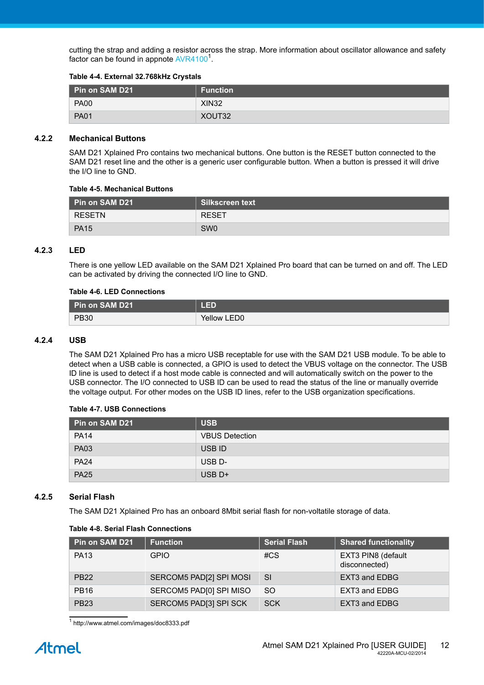cutting the strap and adding a resistor across the strap. More information about oscillator allowance and safety factor can be found in appnote [AVR4100](http://www.atmel.com/images/doc8333.pdf)<sup>1</sup>.

#### **Table 4-4. External 32.768kHz Crystals**

| Pin on SAM D21 | <b>Function</b> |
|----------------|-----------------|
| <b>PA00</b>    | <b>XIN32</b>    |
| <b>PA01</b>    | XOUT32          |

#### **4.2.2 Mechanical Buttons**

<span id="page-11-0"></span>SAM D21 Xplained Pro contains two mechanical buttons. One button is the RESET button connected to the SAM D21 reset line and the other is a generic user configurable button. When a button is pressed it will drive the I/O line to GND.

#### **Table 4-5. Mechanical Buttons**

| <b>Pin on SAM D21</b> | Silkscreen text |
|-----------------------|-----------------|
| <b>RESETN</b>         | <b>RESET</b>    |
| <b>PA15</b>           | SW <sub>0</sub> |

#### **4.2.3 LED**

<span id="page-11-1"></span>There is one yellow LED available on the SAM D21 Xplained Pro board that can be turned on and off. The LED can be activated by driving the connected I/O line to GND.

#### **Table 4-6. LED Connections**

| Pin on SAM D21 | <b>LED</b>  |
|----------------|-------------|
| <b>PB30</b>    | Yellow LED0 |

#### **4.2.4 USB**

<span id="page-11-2"></span>The SAM D21 Xplained Pro has a micro USB receptable for use with the SAM D21 USB module. To be able to detect when a USB cable is connected, a GPIO is used to detect the VBUS voltage on the connector. The USB ID line is used to detect if a host mode cable is connected and will automatically switch on the power to the USB connector. The I/O connected to USB ID can be used to read the status of the line or manually override the voltage output. For other modes on the USB ID lines, refer to the USB organization specifications.

#### **Table 4-7. USB Connections**

| Pin on SAM D21 | <b>USB</b>            |
|----------------|-----------------------|
| <b>PA14</b>    | <b>VBUS Detection</b> |
| <b>PA03</b>    | USB ID                |
| <b>PA24</b>    | USB D-                |
| <b>PA25</b>    | $USB$ D+              |

#### **4.2.5 Serial Flash**

<span id="page-11-3"></span>The SAM D21 Xplained Pro has an onboard 8Mbit serial flash for non-voltatile storage of data.

## **Pin on SAM D21 Function Serial Flash Shared functionality Shared functionality** PA13 GPIO **#CS** EXT3 PIN8 (default disconnected) PB22 SERCOM5 PADI2I SPI MOSI SI SI EXT3 and EDBG PB16 SERCOM5 PAD[0] SPI MISO SO EXT3 and EDBG PB23 SERCOM5 PAD[3] SPI SCK SCK SCK EXT3 and EDBG

#### **Table 4-8. Serial Flash Connections**

1 <http://www.atmel.com/images/doc8333.pdf>

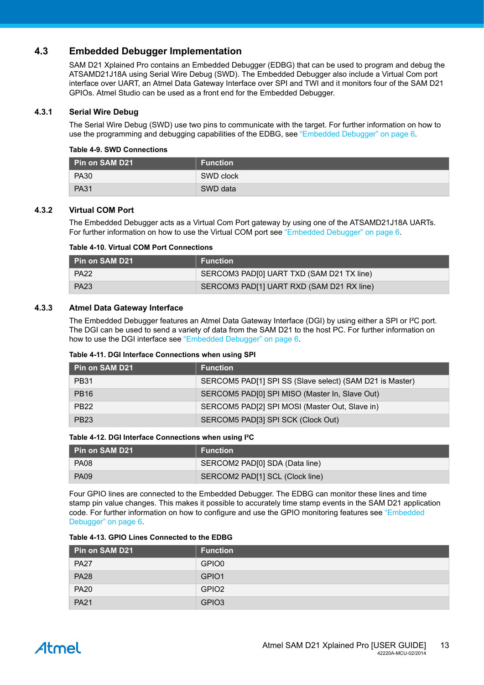#### **4.3 Embedded Debugger Implementation**

<span id="page-12-0"></span>SAM D21 Xplained Pro contains an Embedded Debugger (EDBG) that can be used to program and debug the ATSAMD21J18A using Serial Wire Debug (SWD). The Embedded Debugger also include a Virtual Com port interface over UART, an Atmel Data Gateway Interface over SPI and TWI and it monitors four of the SAM D21 GPIOs. Atmel Studio can be used as a front end for the Embedded Debugger.

#### **4.3.1 Serial Wire Debug**

<span id="page-12-1"></span>The Serial Wire Debug (SWD) use two pins to communicate with the target. For further information on how to use the programming and debugging capabilities of the EDBG, see ["Embedded Debugger" on page 6](#page-5-1).

#### **Table 4-9. SWD Connections**

| Pin on SAM D21 | <b>Function</b> |
|----------------|-----------------|
| <b>PA30</b>    | SWD clock       |
| <b>PA31</b>    | SWD data        |

#### **4.3.2 Virtual COM Port**

<span id="page-12-2"></span>The Embedded Debugger acts as a Virtual Com Port gateway by using one of the ATSAMD21J18A UARTs. For further information on how to use the Virtual COM port see ["Embedded Debugger" on page 6.](#page-5-1)

#### **Table 4-10. Virtual COM Port Connections**

| ∣ Pin on SAM D21 | <b>Function</b>                           |
|------------------|-------------------------------------------|
| <b>PA22</b>      | SERCOM3 PAD[0] UART TXD (SAM D21 TX line) |
| <b>PA23</b>      | SERCOM3 PAD[1] UART RXD (SAM D21 RX line) |

#### **4.3.3 Atmel Data Gateway Interface**

<span id="page-12-3"></span>The Embedded Debugger features an Atmel Data Gateway Interface (DGI) by using either a SPI or I²C port. The DGI can be used to send a variety of data from the SAM D21 to the host PC. For further information on how to use the DGI interface see ["Embedded Debugger" on page 6](#page-5-1).

#### **Table 4-11. DGI Interface Connections when using SPI**

| Pin on SAM D21 | <b>Function</b>                                          |
|----------------|----------------------------------------------------------|
| <b>PB31</b>    | SERCOM5 PAD[1] SPI SS (Slave select) (SAM D21 is Master) |
| <b>PB16</b>    | SERCOM5 PAD[0] SPI MISO (Master In, Slave Out)           |
| <b>PB22</b>    | SERCOM5 PAD[2] SPI MOSI (Master Out, Slave in)           |
| <b>PB23</b>    | SERCOM5 PAD[3] SPI SCK (Clock Out)                       |

#### **Table 4-12. DGI Interface Connections when using I²C**

| <b>I</b> Pin on SAM D21 | <b>Function</b>                 |
|-------------------------|---------------------------------|
| PA08                    | SERCOM2 PAD[0] SDA (Data line)  |
| <b>PA09</b>             | SERCOM2 PAD[1] SCL (Clock line) |

Four GPIO lines are connected to the Embedded Debugger. The EDBG can monitor these lines and time stamp pin value changes. This makes it possible to accurately time stamp events in the SAM D21 application code. For further information on how to configure and use the GPIO monitoring features see ["Embedded](#page-5-1) [Debugger" on page 6.](#page-5-1)

| Pin on SAM D21 | <b>Function</b>   |
|----------------|-------------------|
| <b>PA27</b>    | GPIO0             |
| <b>PA28</b>    | GPIO1             |
| <b>PA20</b>    | GPIO <sub>2</sub> |
| <b>PA21</b>    | GPIO <sub>3</sub> |

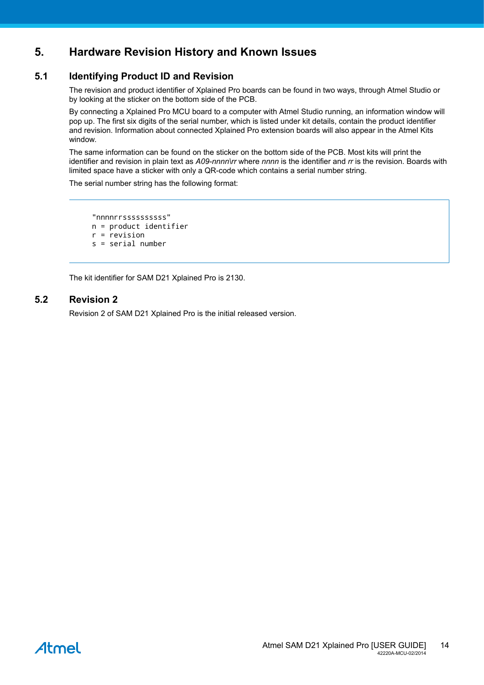## <span id="page-13-0"></span>**5. Hardware Revision History and Known Issues**

#### **5.1 Identifying Product ID and Revision**

<span id="page-13-1"></span>The revision and product identifier of Xplained Pro boards can be found in two ways, through Atmel Studio or by looking at the sticker on the bottom side of the PCB.

By connecting a Xplained Pro MCU board to a computer with Atmel Studio running, an information window will pop up. The first six digits of the serial number, which is listed under kit details, contain the product identifier and revision. Information about connected Xplained Pro extension boards will also appear in the Atmel Kits window.

The same information can be found on the sticker on the bottom side of the PCB. Most kits will print the identifier and revision in plain text as *A09-nnnn\rr* where *nnnn* is the identifier and *rr* is the revision. Boards with limited space have a sticker with only a QR-code which contains a serial number string.

The serial number string has the following format:

```
 "nnnnrrssssssssss"
n = product identifier
r = revision
s = serial number
```
<span id="page-13-2"></span>The kit identifier for SAM D21 Xplained Pro is 2130.

#### **5.2 Revision 2**

Revision 2 of SAM D21 Xplained Pro is the initial released version.

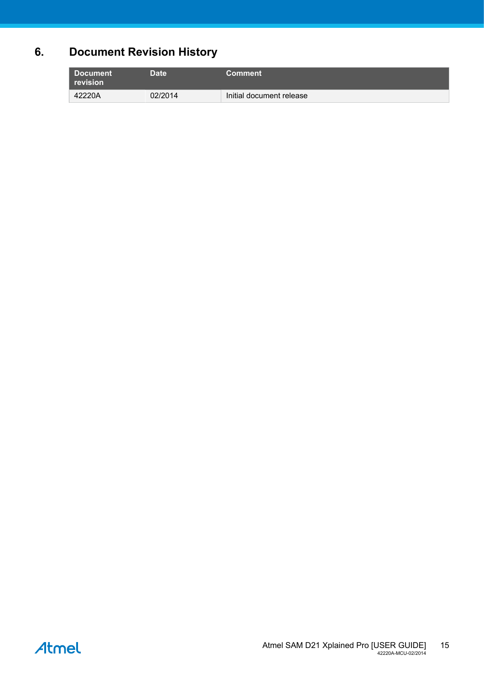## **6. Document Revision History**

<span id="page-14-0"></span>

| <b>Document</b><br>revision | Date <sup>'</sup> | <b>Comment</b>           |
|-----------------------------|-------------------|--------------------------|
| 42220A                      | 02/2014           | Initial document release |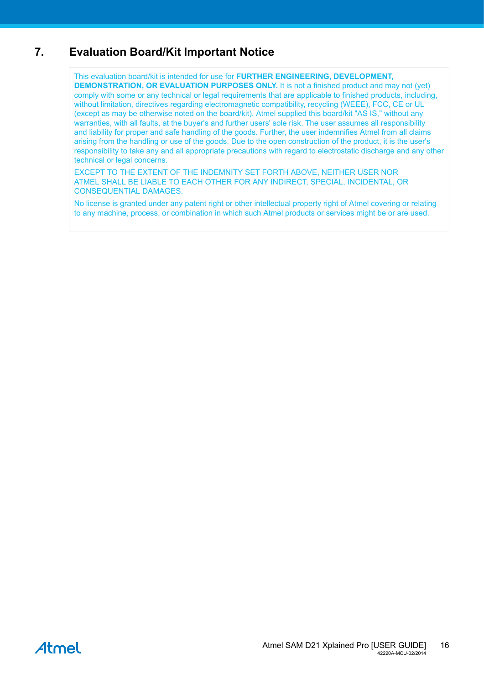## **7. Evaluation Board/Kit Important Notice**

<span id="page-15-0"></span>This evaluation board/kit is intended for use for **FURTHER ENGINEERING, DEVELOPMENT, DEMONSTRATION, OR EVALUATION PURPOSES ONLY.** It is not a finished product and may not (yet) comply with some or any technical or legal requirements that are applicable to finished products, including, without limitation, directives regarding electromagnetic compatibility, recycling (WEEE), FCC, CE or UL (except as may be otherwise noted on the board/kit). Atmel supplied this board/kit "AS IS," without any warranties, with all faults, at the buyer's and further users' sole risk. The user assumes all responsibility and liability for proper and safe handling of the goods. Further, the user indemnifies Atmel from all claims arising from the handling or use of the goods. Due to the open construction of the product, it is the user's responsibility to take any and all appropriate precautions with regard to electrostatic discharge and any other technical or legal concerns.

EXCEPT TO THE EXTENT OF THE INDEMNITY SET FORTH ABOVE, NEITHER USER NOR ATMEL SHALL BE LIABLE TO EACH OTHER FOR ANY INDIRECT, SPECIAL, INCIDENTAL, OR CONSEQUENTIAL DAMAGES.

No license is granted under any patent right or other intellectual property right of Atmel covering or relating to any machine, process, or combination in which such Atmel products or services might be or are used.